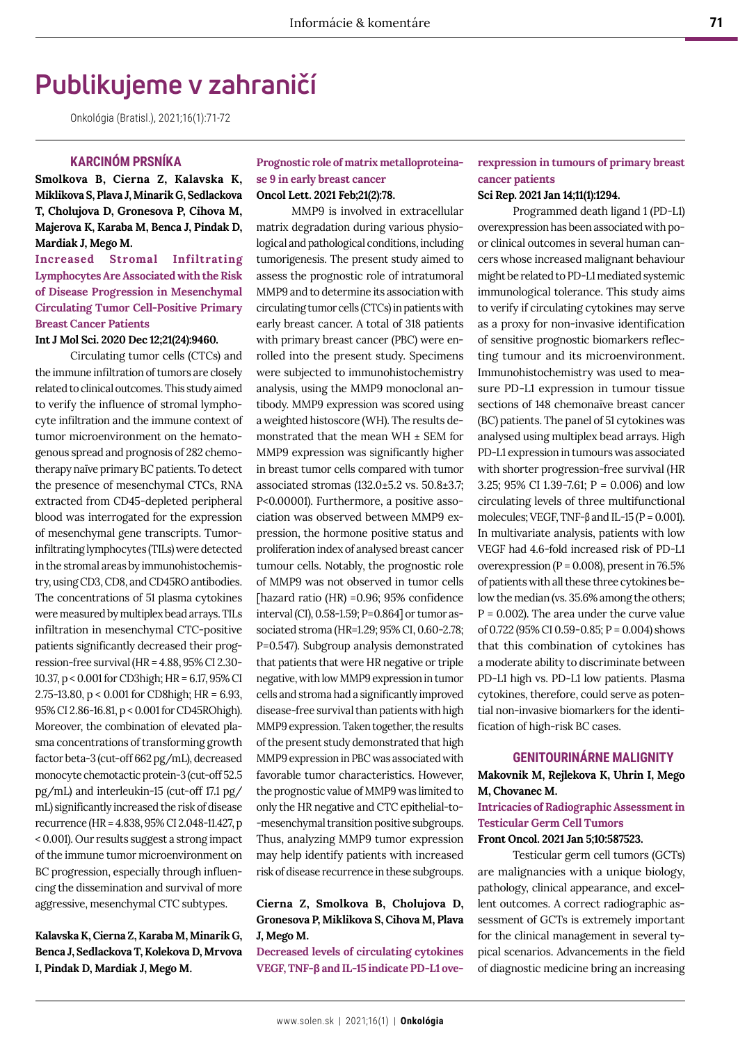# **Publikujeme v zahraničí**

Onkológia (Bratisl.), 2021;16(1):71-72

## **KARCINÓM PRSNÍKA**

**Smolkova B, Cierna Z, Kalavska K, Miklikova S, Plava J, Minarik G, Sedlackova T, Cholujova D, Gronesova P, Cihova M, Majerova K, Karaba M, Benca J, Pindak D, Mardiak J, Mego M.** 

## **Increased Stromal Infiltrating Lymphocytes Are Associated with the Risk of Disease Progression in Mesenchymal Circulating Tumor Cell-Positive Primary Breast Cancer Patients**

#### **Int J Mol Sci. 2020 Dec 12;21(24):9460.**

Circulating tumor cells (CTCs) and the immune infiltration of tumors are closely related to clinical outcomes. This study aimed to verify the influence of stromal lymphocyte infiltration and the immune context of tumor microenvironment on the hematogenous spread and prognosis of 282 chemotherapy naïve primary BC patients. To detect the presence of mesenchymal CTCs, RNA extracted from CD45-depleted peripheral blood was interrogated for the expression of mesenchymal gene transcripts. Tumorinfiltrating lymphocytes (TILs) were detected in the stromal areas by immunohistochemistry, using CD3, CD8, and CD45RO antibodies. The concentrations of 51 plasma cytokines were measured by multiplex bead arrays. TILs infiltration in mesenchymal CTC-positive patients significantly decreased their progression-free survival (HR = 4.88, 95% CI 2.30- 10.37, p < 0.001 for CD3high; HR = 6.17, 95% CI 2.75-13.80, p < 0.001 for CD8high; HR = 6.93, 95% CI 2.86-16.81, p < 0.001 for CD45ROhigh). Moreover, the combination of elevated plasma concentrations of transforming growth factor beta-3 (cut-off 662 pg/mL), decreased monocyte chemotactic protein-3 (cut-off 52.5 pg/mL) and interleukin-15 (cut-off 17.1 pg/ mL) significantly increased the risk of disease recurrence (HR = 4.838, 95% CI 2.048-11.427, p < 0.001). Our results suggest a strong impact of the immune tumor microenvironment on BC progression, especially through influencing the dissemination and survival of more aggressive, mesenchymal CTC subtypes.

## **Kalavska K, Cierna Z, Karaba M, Minarik G, Benca J, Sedlackova T, Kolekova D, Mrvova I, Pindak D, Mardiak J, Mego M.**

#### **Prognostic role of matrix metalloproteinase 9 in early breast cancer Oncol Lett. 2021 Feb;21(2):78.**

MMP9 is involved in extracellular matrix degradation during various physiological and pathological conditions, including tumorigenesis. The present study aimed to assess the prognostic role of intratumoral MMP9 and to determine its association with circulating tumor cells (CTCs) in patients with early breast cancer. A total of 318 patients with primary breast cancer (PBC) were enrolled into the present study. Specimens were subjected to immunohistochemistry analysis, using the MMP9 monoclonal antibody. MMP9 expression was scored using a weighted histoscore (WH). The results demonstrated that the mean WH ± SEM for MMP9 expression was significantly higher in breast tumor cells compared with tumor associated stromas (132.0±5.2 vs. 50.8±3.7; P<0.00001). Furthermore, a positive association was observed between MMP9 expression, the hormone positive status and proliferation index of analysed breast cancer tumour cells. Notably, the prognostic role of MMP9 was not observed in tumor cells [hazard ratio (HR) =0.96; 95% confidence interval (CI), 0.58-1.59; P=0.864] or tumor associated stroma (HR=1.29; 95% CI, 0.60-2.78; P=0.547). Subgroup analysis demonstrated that patients that were HR negative or triple negative, with low MMP9 expression in tumor cells and stroma had a significantly improved disease-free survival than patients with high MMP9 expression. Taken together, the results of the present study demonstrated that high MMP9 expression in PBC was associated with favorable tumor characteristics. However, the prognostic value of MMP9 was limited to only the HR negative and CTC epithelial-to- -mesenchymal transition positive subgroups. Thus, analyzing MMP9 tumor expression may help identify patients with increased risk of disease recurrence in these subgroups.

## **Cierna Z, Smolkova B, Cholujova D, Gronesova P, Miklikova S, Cihova M, Plava J, Mego M.**

**Decreased levels of circulating cytokines VEGF, TNF-β and IL-15 indicate PD-L1 ove-**

## **rexpression in tumours of primary breast cancer patients**

#### **Sci Rep. 2021 Jan 14;11(1):1294.**

Programmed death ligand 1 (PD-L1) overexpression has been associated with poor clinical outcomes in several human cancers whose increased malignant behaviour might be related to PD-L1 mediated systemic immunological tolerance. This study aims to verify if circulating cytokines may serve as a proxy for non-invasive identification of sensitive prognostic biomarkers reflecting tumour and its microenvironment. Immunohistochemistry was used to measure PD-L1 expression in tumour tissue sections of 148 chemonaïve breast cancer (BC) patients. The panel of 51 cytokines was analysed using multiplex bead arrays. High PD-L1 expression in tumours was associated with shorter progression-free survival (HR 3.25; 95% CI 1.39-7.61; P = 0.006) and low circulating levels of three multifunctional molecules; VEGF, TNF- $\beta$  and IL-15 (P = 0.001). In multivariate analysis, patients with low VEGF had 4.6-fold increased risk of PD-L1 overexpression ( $P = 0.008$ ), present in 76.5% of patients with all these three cytokines below the median (vs. 35.6% among the others;  $P = 0.002$ ). The area under the curve value of 0.722 (95% CI 0.59-0.85; P = 0.004) shows that this combination of cytokines has a moderate ability to discriminate between PD-L1 high vs. PD-L1 low patients. Plasma cytokines, therefore, could serve as potential non-invasive biomarkers for the identification of high-risk BC cases.

#### **GENITOURINÁRNE MALIGNITY**

**Makovnik M, Rejlekova K, Uhrin I, Mego M, Chovanec M.** 

**Intricacies of Radiographic Assessment in Testicular Germ Cell Tumors**

### **Front Oncol. 2021 Jan 5;10:587523.**

Testicular germ cell tumors (GCTs) are malignancies with a unique biology, pathology, clinical appearance, and excellent outcomes. A correct radiographic assessment of GCTs is extremely important for the clinical management in several typical scenarios. Advancements in the field of diagnostic medicine bring an increasing